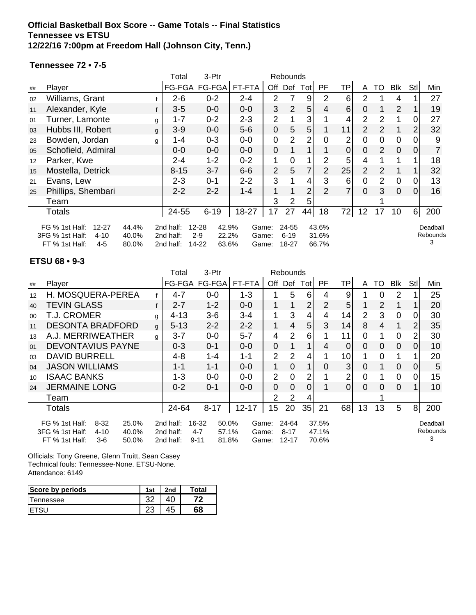#### **Official Basketball Box Score -- Game Totals -- Final Statistics Tennessee vs ETSU 12/22/16 7:00pm at Freedom Hall (Johnson City, Tenn.)**

#### **Tennessee 72 • 7-5**

|    |                                                                                         |                         | Total                               | 3-Ptr                                                      |                         | Rebounds       |                            |                |                         |                |                |                |                |                |                                  |
|----|-----------------------------------------------------------------------------------------|-------------------------|-------------------------------------|------------------------------------------------------------|-------------------------|----------------|----------------------------|----------------|-------------------------|----------------|----------------|----------------|----------------|----------------|----------------------------------|
| ## | Player                                                                                  |                         |                                     | FG-FGA   FG-FGA                                            | FT-FTA                  | Off            | Def                        | Totl           | PF.                     | ΤP             | A              | TO             | Blk            | Stl            | Min                              |
| 02 | Williams, Grant                                                                         |                         | $2 - 6$                             | $0 - 2$                                                    | $2 - 4$                 | 2              |                            | 9              | 2                       | 6              | 2              |                | 4              |                | 27                               |
| 11 | Alexander, Kyle                                                                         |                         | $3-5$                               | $0-0$                                                      | $0 - 0$                 | 3              | $\overline{2}$             | 5              | $\overline{4}$          | 6              | 0              |                | $\overline{2}$ |                | 19                               |
| 01 | Turner, Lamonte                                                                         | g                       | $1 - 7$                             | $0 - 2$                                                    | $2 - 3$                 | $\overline{2}$ |                            | 3              |                         |                | $\overline{2}$ | $\overline{2}$ | 1              |                | 27                               |
| 03 | Hubbs III, Robert                                                                       | g                       | $3-9$                               | $0-0$                                                      | $5-6$                   | 0              | 5                          | 5              |                         | 11             | $\overline{2}$ | $\overline{2}$ | 1              | $\overline{2}$ | 32                               |
| 23 | Bowden, Jordan                                                                          | g                       | 1-4                                 | $0 - 3$                                                    | $0-0$                   | 0              | $\overline{2}$             | 2              | 0                       | $\overline{2}$ | 0              | 0              | $\mathbf 0$    | 0              | 9                                |
| 05 | Schofield, Admiral                                                                      |                         | $0 - 0$                             | $0-0$                                                      | $0-0$                   | 0              |                            |                |                         | 0              | 0              | 2              | $\overline{0}$ | 0              |                                  |
| 12 | Parker, Kwe                                                                             |                         | $2 - 4$                             | $1 - 2$                                                    | $0 - 2$                 | 1              | 0                          |                | $\overline{2}$          | 5              | 4              |                | 1              |                | 18                               |
| 15 | Mostella, Detrick                                                                       |                         | $8 - 15$                            | $3 - 7$                                                    | $6-6$                   | $\overline{2}$ | 5                          | $\overline{7}$ | 2                       | 25             | $\overline{2}$ | 2              |                |                | 32                               |
| 21 | Evans, Lew                                                                              |                         | $2 - 3$                             | $0 - 1$                                                    | $2 - 2$                 | 3              |                            | 4              | 3                       | 6              | 0              | $\overline{2}$ | $\overline{0}$ |                | 13                               |
| 25 | Phillips, Shembari                                                                      |                         | $2 - 2$                             | $2 - 2$                                                    | $1 - 4$                 | 1              |                            | $\overline{2}$ | $\overline{2}$          | 7              | $\Omega$       | 3              | $\overline{0}$ | 0              | 16                               |
|    | Team                                                                                    |                         |                                     |                                                            |                         | 3              | 2                          | 5              |                         |                |                |                |                |                |                                  |
|    | Totals                                                                                  |                         | 24-55                               | $6 - 19$                                                   | 18-27                   | 17             | 27                         | 44             | 18                      | 72             | 12             | 17             | 10             | $6 \mid$       | 200                              |
|    | FG % 1st Half:<br>$12 - 27$<br>3FG % 1st Half:<br>$4 - 10$<br>FT % 1st Half:<br>$4 - 5$ | 44.4%<br>40.0%<br>80.0% | 2nd half:<br>2nd half:<br>2nd half: | $12 - 28$<br>42.9%<br>$2-9$<br>22.2%<br>$14 - 22$<br>63.6% | Game:<br>Game:<br>Game: |                | 24-55<br>$6 - 19$<br>18-27 |                | 43.6%<br>31.6%<br>66.7% |                |                |                |                |                | Deadball<br><b>Rebounds</b><br>3 |

#### **ETSU 68 • 9-3**

|        |                                                                                                             |   | Total                               | 3-Ptr                                                   |                         | <b>Rebounds</b> |                                |                |                         |                 |                |                |             |                |                           |
|--------|-------------------------------------------------------------------------------------------------------------|---|-------------------------------------|---------------------------------------------------------|-------------------------|-----------------|--------------------------------|----------------|-------------------------|-----------------|----------------|----------------|-------------|----------------|---------------------------|
| ##     | Player                                                                                                      |   | FG-FGA                              | FG-FGA                                                  | FT-FTA                  | Off             | Def                            | Tot            | PF                      | TP              | A              | TO             | <b>Blk</b>  | Stl            | Min                       |
| 12     | H. MOSQUERA-PEREA                                                                                           |   | $4 - 7$                             | $0 - 0$                                                 | $1 - 3$                 |                 | 5                              | 6              | 4                       | 9               |                | $\Omega$       | 2           |                | 25                        |
| 40     | TEVIN GLASS                                                                                                 |   | $2 - 7$                             | $1 - 2$                                                 | $0 - 0$                 | 1               |                                | $\overline{2}$ | 2                       | 5               |                | $\overline{2}$ | 1           |                | 20                        |
| $00\,$ | <b>T.J. CROMER</b>                                                                                          | g | $4 - 13$                            | $3-6$                                                   | $3 - 4$                 | 1               | 3                              | 4              | 4                       | 14              | 2              | 3              | 0           | 0              | 30                        |
| 11     | <b>DESONTA BRADFORD</b>                                                                                     | g | $5 - 13$                            | $2 - 2$                                                 | $2 - 2$                 | 1               | 4                              | 5              | 3                       | 14              | 8              | 4              |             | $\overline{2}$ | 35                        |
| 13     | A.J. MERRIWEATHER                                                                                           | q | $3 - 7$                             | $0-0$                                                   | $5 - 7$                 | 4               | $\overline{2}$                 | 6              |                         | 11              | $\Omega$       |                | $\mathbf 0$ | 2              | 30                        |
| 01     | DEVONTAVIUS PAYNE                                                                                           |   | $0 - 3$                             | $0 - 1$                                                 | $0 - 0$                 | $\overline{0}$  |                                | 1              | 4                       | $\overline{0}$  | $\Omega$       | $\Omega$       | $\Omega$    | $\Omega$       | 10                        |
| 03     | <b>DAVID BURRELL</b>                                                                                        |   | $4 - 8$                             | 1-4                                                     | $1 - 1$                 | $\overline{2}$  | $\overline{2}$                 | 4              |                         | 10 <sub>l</sub> |                | $\Omega$       | 1           |                | 20                        |
| 04     | <b>JASON WILLIAMS</b>                                                                                       |   | $1 - 1$                             | $1 - 1$                                                 | $0 - 0$                 | 1               | $\overline{0}$                 | 1              | $\Omega$                | 3 <sub>l</sub>  | 0              |                | $\mathbf 0$ | $\Omega$       | 5                         |
| 10     | <b>ISAAC BANKS</b>                                                                                          |   | $1 - 3$                             | $0-0$                                                   | $0-0$                   | $\overline{2}$  | $\overline{0}$                 | $\overline{2}$ |                         | 2               | 0              |                | $\mathbf 0$ | 0              | 15                        |
| 24     | <b>JERMAINE LONG</b>                                                                                        |   | $0 - 2$                             | $0 - 1$                                                 | $0 - 0$                 | $\overline{0}$  | $\overline{0}$                 | $\mathbf 0$    |                         | $\Omega$        | $\overline{0}$ | $\Omega$       | $\mathbf 0$ |                | 10 <sup>1</sup>           |
|        | Team                                                                                                        |   |                                     |                                                         |                         | $\overline{2}$  | 2                              | 4              |                         |                 |                |                |             |                |                           |
|        | Totals                                                                                                      |   | 24-64                               | $8 - 17$                                                | $12 - 17$               | 15              | 20                             | 35             | 21                      | 68              | 13             | 13             | 5           | 8 <sup>1</sup> | 200                       |
|        | FG % 1st Half:<br>25.0%<br>$8-32$<br>3FG % 1st Half:<br>$4 - 10$<br>40.0%<br>FT % 1st Half:<br>50.0%<br>3-6 |   | 2nd half:<br>2nd half:<br>2nd half: | 16-32<br>50.0%<br>$4 - 7$<br>57.1%<br>$9 - 11$<br>81.8% | Game:<br>Game:<br>Game: |                 | 24-64<br>$8 - 17$<br>$12 - 17$ |                | 37.5%<br>47.1%<br>70.6% |                 |                |                |             |                | Deadball<br>Rebounds<br>3 |

Officials: Tony Greene, Glenn Truitt, Sean Casey Technical fouls: Tennessee-None. ETSU-None. Attendance: 6149

| Score by periods | 1st | 2nd | Total |
|------------------|-----|-----|-------|
| l ennessee       | ົ   |     |       |
|                  | دے  |     | 68    |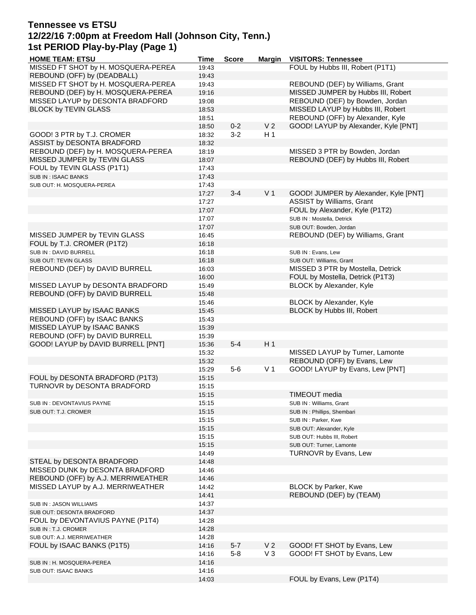# **Tennessee vs ETSU 12/22/16 7:00pm at Freedom Hall (Johnson City, Tenn.) 1st PERIOD Play-by-Play (Page 1)**

| <b>HOME TEAM: ETSU</b>              | <b>Time</b> | <b>Score</b> | <b>Margin</b>  | <b>VISITORS: Tennessee</b>            |
|-------------------------------------|-------------|--------------|----------------|---------------------------------------|
| MISSED FT SHOT by H. MOSQUERA-PEREA | 19:43       |              |                | FOUL by Hubbs III, Robert (P1T1)      |
| REBOUND (OFF) by (DEADBALL)         | 19:43       |              |                |                                       |
| MISSED FT SHOT by H. MOSQUERA-PEREA | 19:43       |              |                | REBOUND (DEF) by Williams, Grant      |
| REBOUND (DEF) by H. MOSQUERA-PEREA  | 19:16       |              |                | MISSED JUMPER by Hubbs III, Robert    |
| MISSED LAYUP by DESONTA BRADFORD    | 19:08       |              |                | REBOUND (DEF) by Bowden, Jordan       |
| <b>BLOCK by TEVIN GLASS</b>         |             |              |                | MISSED LAYUP by Hubbs III, Robert     |
|                                     | 18:53       |              |                |                                       |
|                                     | 18:51       |              |                | REBOUND (OFF) by Alexander, Kyle      |
|                                     | 18:50       | $0 - 2$      | V <sub>2</sub> | GOOD! LAYUP by Alexander, Kyle [PNT]  |
| GOOD! 3 PTR by T.J. CROMER          | 18:32       | $3 - 2$      | H <sub>1</sub> |                                       |
| ASSIST by DESONTA BRADFORD          | 18:32       |              |                |                                       |
| REBOUND (DEF) by H. MOSQUERA-PEREA  | 18:19       |              |                | MISSED 3 PTR by Bowden, Jordan        |
| MISSED JUMPER by TEVIN GLASS        | 18:07       |              |                | REBOUND (DEF) by Hubbs III, Robert    |
| FOUL by TEVIN GLASS (P1T1)          | 17:43       |              |                |                                       |
| SUB IN: ISAAC BANKS                 | 17:43       |              |                |                                       |
| SUB OUT: H. MOSQUERA-PEREA          | 17:43       |              |                |                                       |
|                                     | 17:27       | $3 - 4$      | V <sub>1</sub> | GOOD! JUMPER by Alexander, Kyle [PNT] |
|                                     | 17:27       |              |                | ASSIST by Williams, Grant             |
|                                     | 17:07       |              |                | FOUL by Alexander, Kyle (P1T2)        |
|                                     | 17:07       |              |                | SUB IN : Mostella, Detrick            |
|                                     | 17:07       |              |                | SUB OUT: Bowden, Jordan               |
| MISSED JUMPER by TEVIN GLASS        |             |              |                | REBOUND (DEF) by Williams, Grant      |
|                                     | 16:45       |              |                |                                       |
| FOUL by T.J. CROMER (P1T2)          | 16:18       |              |                |                                       |
| SUB IN: DAVID BURRELL               | 16:18       |              |                | SUB IN: Evans, Lew                    |
| SUB OUT: TEVIN GLASS                | 16:18       |              |                | SUB OUT: Williams, Grant              |
| REBOUND (DEF) by DAVID BURRELL      | 16:03       |              |                | MISSED 3 PTR by Mostella, Detrick     |
|                                     | 16:00       |              |                | FOUL by Mostella, Detrick (P1T3)      |
| MISSED LAYUP by DESONTA BRADFORD    | 15:49       |              |                | BLOCK by Alexander, Kyle              |
| REBOUND (OFF) by DAVID BURRELL      | 15:48       |              |                |                                       |
|                                     | 15:46       |              |                | BLOCK by Alexander, Kyle              |
| MISSED LAYUP by ISAAC BANKS         | 15:45       |              |                | BLOCK by Hubbs III, Robert            |
| REBOUND (OFF) by ISAAC BANKS        | 15:43       |              |                |                                       |
| MISSED LAYUP by ISAAC BANKS         | 15:39       |              |                |                                       |
| REBOUND (OFF) by DAVID BURRELL      | 15:39       |              |                |                                       |
| GOOD! LAYUP by DAVID BURRELL [PNT]  | 15:36       | $5 - 4$      | H <sub>1</sub> |                                       |
|                                     | 15:32       |              |                | MISSED LAYUP by Turner, Lamonte       |
|                                     | 15:32       |              |                | REBOUND (OFF) by Evans, Lew           |
|                                     | 15:29       | $5-6$        | V <sub>1</sub> | GOOD! LAYUP by Evans, Lew [PNT]       |
| FOUL by DESONTA BRADFORD (P1T3)     | 15:15       |              |                |                                       |
| TURNOVR by DESONTA BRADFORD         |             |              |                |                                       |
|                                     | 15:15       |              |                | <b>TIMEOUT</b> media                  |
|                                     | 15:15       |              |                |                                       |
| SUB IN: DEVONTAVIUS PAYNE           | 15:15       |              |                | SUB IN: Williams, Grant               |
| SUB OUT: T.J. CROMER                | 15:15       |              |                | SUB IN: Phillips, Shembari            |
|                                     | 15:15       |              |                | SUB IN: Parker, Kwe                   |
|                                     | 15:15       |              |                | SUB OUT: Alexander, Kyle              |
|                                     | 15:15       |              |                | SUB OUT: Hubbs III, Robert            |
|                                     | 15:15       |              |                | SUB OUT: Turner, Lamonte              |
|                                     | 14:49       |              |                | TURNOVR by Evans, Lew                 |
| STEAL by DESONTA BRADFORD           | 14:48       |              |                |                                       |
| MISSED DUNK by DESONTA BRADFORD     | 14:46       |              |                |                                       |
| REBOUND (OFF) by A.J. MERRIWEATHER  | 14:46       |              |                |                                       |
| MISSED LAYUP by A.J. MERRIWEATHER   | 14:42       |              |                | <b>BLOCK by Parker, Kwe</b>           |
|                                     | 14:41       |              |                | REBOUND (DEF) by (TEAM)               |
| SUB IN : JASON WILLIAMS             | 14:37       |              |                |                                       |
| SUB OUT: DESONTA BRADFORD           | 14:37       |              |                |                                       |
| FOUL by DEVONTAVIUS PAYNE (P1T4)    | 14:28       |              |                |                                       |
| SUB IN : T.J. CROMER                | 14:28       |              |                |                                       |
|                                     | 14:28       |              |                |                                       |
| SUB OUT: A.J. MERRIWEATHER          |             |              |                |                                       |
| FOUL by ISAAC BANKS (P1T5)          | 14:16       | $5 - 7$      | V <sub>2</sub> | GOOD! FT SHOT by Evans, Lew           |
|                                     | 14:16       | $5 - 8$      | $V_3$          | GOOD! FT SHOT by Evans, Lew           |
| SUB IN : H. MOSQUERA-PEREA          | 14:16       |              |                |                                       |
| SUB OUT: ISAAC BANKS                | 14:16       |              |                |                                       |
|                                     | 14:03       |              |                | FOUL by Evans, Lew (P1T4)             |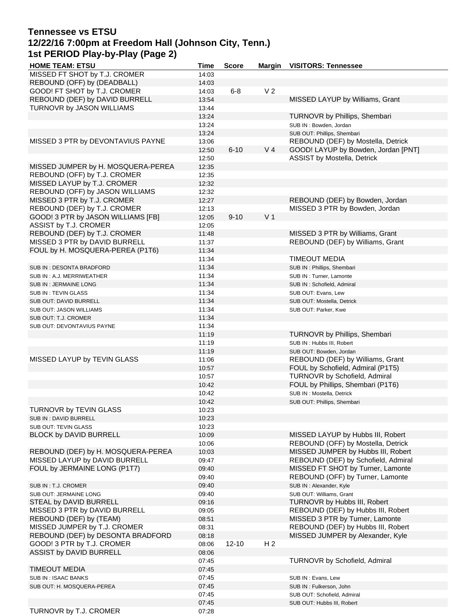## **Tennessee vs ETSU 12/22/16 7:00pm at Freedom Hall (Johnson City, Tenn.) 1st PERIOD Play-by-Play (Page 2)**

| <b>HOME TEAM: ETSU</b>             | Time           | <b>Score</b> | <b>Margin</b>  | <b>VISITORS: Tennessee</b>          |
|------------------------------------|----------------|--------------|----------------|-------------------------------------|
| MISSED FT SHOT by T.J. CROMER      | 14:03          |              |                |                                     |
| REBOUND (OFF) by (DEADBALL)        | 14:03          |              |                |                                     |
| GOOD! FT SHOT by T.J. CROMER       | 14:03          | $6 - 8$      | V <sub>2</sub> |                                     |
| REBOUND (DEF) by DAVID BURRELL     | 13:54          |              |                | MISSED LAYUP by Williams, Grant     |
| TURNOVR by JASON WILLIAMS          | 13:44          |              |                |                                     |
|                                    | 13:24          |              |                | TURNOVR by Phillips, Shembari       |
|                                    | 13:24          |              |                | SUB IN: Bowden, Jordan              |
|                                    | 13:24          |              |                | SUB OUT: Phillips, Shembari         |
| MISSED 3 PTR by DEVONTAVIUS PAYNE  |                |              |                | REBOUND (DEF) by Mostella, Detrick  |
|                                    | 13:06          |              |                |                                     |
|                                    | 12:50          | $6 - 10$     | V <sub>4</sub> | GOOD! LAYUP by Bowden, Jordan [PNT] |
|                                    | 12:50<br>12:35 |              |                | ASSIST by Mostella, Detrick         |
| MISSED JUMPER by H. MOSQUERA-PEREA |                |              |                |                                     |
| REBOUND (OFF) by T.J. CROMER       | 12:35          |              |                |                                     |
| MISSED LAYUP by T.J. CROMER        | 12:32          |              |                |                                     |
| REBOUND (OFF) by JASON WILLIAMS    | 12:32          |              |                |                                     |
| MISSED 3 PTR by T.J. CROMER        | 12:27          |              |                | REBOUND (DEF) by Bowden, Jordan     |
| REBOUND (DEF) by T.J. CROMER       | 12:13          |              |                | MISSED 3 PTR by Bowden, Jordan      |
| GOOD! 3 PTR by JASON WILLIAMS [FB] | 12:05          | $9 - 10$     | V <sub>1</sub> |                                     |
| ASSIST by T.J. CROMER              | 12:05          |              |                |                                     |
| REBOUND (DEF) by T.J. CROMER       | 11:48          |              |                | MISSED 3 PTR by Williams, Grant     |
| MISSED 3 PTR by DAVID BURRELL      | 11:37          |              |                | REBOUND (DEF) by Williams, Grant    |
| FOUL by H. MOSQUERA-PEREA (P1T6)   | 11:34          |              |                |                                     |
|                                    | 11:34          |              |                | <b>TIMEOUT MEDIA</b>                |
| SUB IN: DESONTA BRADFORD           | 11:34          |              |                | SUB IN : Phillips, Shembari         |
| SUB IN : A.J. MERRIWEATHER         | 11:34          |              |                | SUB IN: Turner, Lamonte             |
| SUB IN: JERMAINE LONG              | 11:34          |              |                | SUB IN: Schofield, Admiral          |
| SUB IN: TEVIN GLASS                | 11:34          |              |                | SUB OUT: Evans, Lew                 |
| SUB OUT: DAVID BURRELL             | 11:34          |              |                | SUB OUT: Mostella, Detrick          |
| SUB OUT: JASON WILLIAMS            | 11:34          |              |                | SUB OUT: Parker, Kwe                |
| SUB OUT: T.J. CROMER               | 11:34          |              |                |                                     |
| SUB OUT: DEVONTAVIUS PAYNE         | 11:34          |              |                |                                     |
|                                    | 11:19          |              |                | TURNOVR by Phillips, Shembari       |
|                                    | 11:19          |              |                | SUB IN: Hubbs III, Robert           |
|                                    | 11:19          |              |                | SUB OUT: Bowden, Jordan             |
| MISSED LAYUP by TEVIN GLASS        | 11:06          |              |                | REBOUND (DEF) by Williams, Grant    |
|                                    | 10:57          |              |                | FOUL by Schofield, Admiral (P1T5)   |
|                                    | 10:57          |              |                | TURNOVR by Schofield, Admiral       |
|                                    | 10:42          |              |                | FOUL by Phillips, Shembari (P1T6)   |
|                                    | 10:42          |              |                | SUB IN : Mostella, Detrick          |
|                                    | 10:42          |              |                | SUB OUT: Phillips, Shembari         |
| TURNOVR by TEVIN GLASS             | 10:23          |              |                |                                     |
| SUB IN : DAVID BURRELL             | 10:23          |              |                |                                     |
| SUB OUT: TEVIN GLASS               | 10:23          |              |                |                                     |
| <b>BLOCK by DAVID BURRELL</b>      | 10:09          |              |                | MISSED LAYUP by Hubbs III, Robert   |
|                                    | 10:06          |              |                | REBOUND (OFF) by Mostella, Detrick  |
| REBOUND (DEF) by H. MOSQUERA-PEREA | 10:03          |              |                | MISSED JUMPER by Hubbs III, Robert  |
| MISSED LAYUP by DAVID BURRELL      | 09:47          |              |                | REBOUND (DEF) by Schofield, Admiral |
| FOUL by JERMAINE LONG (P1T7)       | 09:40          |              |                | MISSED FT SHOT by Turner, Lamonte   |
|                                    | 09:40          |              |                | REBOUND (OFF) by Turner, Lamonte    |
| SUB IN : T.J. CROMER               | 09:40          |              |                | SUB IN: Alexander, Kyle             |
| SUB OUT: JERMAINE LONG             | 09:40          |              |                | SUB OUT: Williams, Grant            |
| STEAL by DAVID BURRELL             | 09:16          |              |                | TURNOVR by Hubbs III, Robert        |
| MISSED 3 PTR by DAVID BURRELL      | 09:05          |              |                | REBOUND (DEF) by Hubbs III, Robert  |
| REBOUND (DEF) by (TEAM)            | 08:51          |              |                | MISSED 3 PTR by Turner, Lamonte     |
| MISSED JUMPER by T.J. CROMER       | 08:31          |              |                | REBOUND (DEF) by Hubbs III, Robert  |
| REBOUND (DEF) by DESONTA BRADFORD  | 08:18          |              |                | MISSED JUMPER by Alexander, Kyle    |
| GOOD! 3 PTR by T.J. CROMER         | 08:06          | $12 - 10$    | H <sub>2</sub> |                                     |
| ASSIST by DAVID BURRELL            | 08:06          |              |                |                                     |
|                                    | 07:45          |              |                | TURNOVR by Schofield, Admiral       |
| <b>TIMEOUT MEDIA</b>               | 07:45          |              |                |                                     |
| SUB IN : ISAAC BANKS               | 07:45          |              |                | SUB IN: Evans, Lew                  |
| SUB OUT: H. MOSQUERA-PEREA         | 07:45          |              |                | SUB IN : Fulkerson, John            |
|                                    | 07:45          |              |                | SUB OUT: Schofield, Admiral         |
|                                    | 07:45          |              |                | SUB OUT: Hubbs III, Robert          |
| TURNOVR by T.J. CROMER             | 07:28          |              |                |                                     |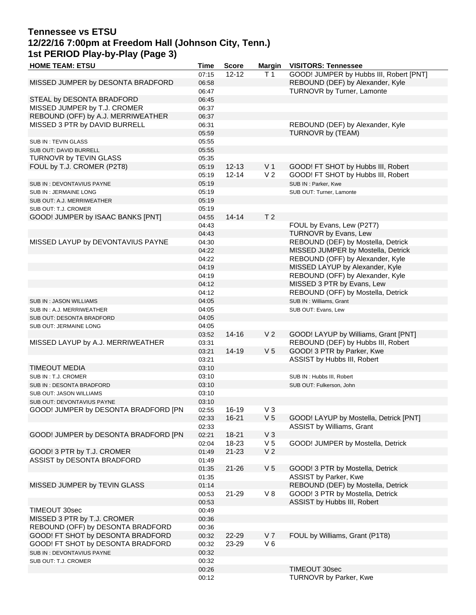## **Tennessee vs ETSU 12/22/16 7:00pm at Freedom Hall (Johnson City, Tenn.) 1st PERIOD Play-by-Play (Page 3)**

| <b>HOME TEAM: ETSU</b>               | Time  | <b>Score</b> |                | Margin VISITORS: Tennessee              |
|--------------------------------------|-------|--------------|----------------|-----------------------------------------|
|                                      | 07:15 | $12 - 12$    | T 1            | GOOD! JUMPER by Hubbs III, Robert [PNT] |
| MISSED JUMPER by DESONTA BRADFORD    | 06:58 |              |                | REBOUND (DEF) by Alexander, Kyle        |
|                                      | 06:47 |              |                | TURNOVR by Turner, Lamonte              |
| STEAL by DESONTA BRADFORD            | 06:45 |              |                |                                         |
| MISSED JUMPER by T.J. CROMER         | 06:37 |              |                |                                         |
| REBOUND (OFF) by A.J. MERRIWEATHER   | 06:37 |              |                |                                         |
| MISSED 3 PTR by DAVID BURRELL        | 06:31 |              |                | REBOUND (DEF) by Alexander, Kyle        |
|                                      | 05:59 |              |                | TURNOVR by (TEAM)                       |
| SUB IN: TEVIN GLASS                  | 05:55 |              |                |                                         |
| SUB OUT: DAVID BURRELL               | 05:55 |              |                |                                         |
| TURNOVR by TEVIN GLASS               | 05:35 |              |                |                                         |
| FOUL by T.J. CROMER (P2T8)           | 05:19 | $12 - 13$    | V <sub>1</sub> | GOOD! FT SHOT by Hubbs III, Robert      |
|                                      | 05:19 | $12 - 14$    | V <sub>2</sub> | GOOD! FT SHOT by Hubbs III, Robert      |
| SUB IN: DEVONTAVIUS PAYNE            | 05:19 |              |                | SUB IN: Parker, Kwe                     |
| SUB IN : JERMAINE LONG               | 05:19 |              |                | SUB OUT: Turner, Lamonte                |
| SUB OUT: A.J. MERRIWEATHER           | 05:19 |              |                |                                         |
| SUB OUT: T.J. CROMER                 | 05:19 |              |                |                                         |
| GOOD! JUMPER by ISAAC BANKS [PNT]    | 04:55 | $14 - 14$    | T <sub>2</sub> |                                         |
|                                      | 04:43 |              |                | FOUL by Evans, Lew (P2T7)               |
|                                      | 04:43 |              |                | TURNOVR by Evans, Lew                   |
| MISSED LAYUP by DEVONTAVIUS PAYNE    | 04:30 |              |                | REBOUND (DEF) by Mostella, Detrick      |
|                                      | 04:22 |              |                | MISSED JUMPER by Mostella, Detrick      |
|                                      | 04:22 |              |                | REBOUND (OFF) by Alexander, Kyle        |
|                                      | 04:19 |              |                | MISSED LAYUP by Alexander, Kyle         |
|                                      | 04:19 |              |                | REBOUND (OFF) by Alexander, Kyle        |
|                                      | 04:12 |              |                | MISSED 3 PTR by Evans, Lew              |
|                                      | 04:12 |              |                | REBOUND (OFF) by Mostella, Detrick      |
| SUB IN : JASON WILLIAMS              | 04:05 |              |                | SUB IN: Williams, Grant                 |
| SUB IN : A.J. MERRIWEATHER           | 04:05 |              |                | SUB OUT: Evans, Lew                     |
| SUB OUT: DESONTA BRADFORD            | 04:05 |              |                |                                         |
| SUB OUT: JERMAINE LONG               | 04:05 |              |                |                                         |
|                                      | 03:52 | $14 - 16$    | V <sub>2</sub> | GOOD! LAYUP by Williams, Grant [PNT]    |
| MISSED LAYUP by A.J. MERRIWEATHER    | 03:31 |              |                | REBOUND (DEF) by Hubbs III, Robert      |
|                                      | 03:21 | 14-19        | V <sub>5</sub> | GOOD! 3 PTR by Parker, Kwe              |
|                                      | 03:21 |              |                | ASSIST by Hubbs III, Robert             |
| <b>TIMEOUT MEDIA</b>                 | 03:10 |              |                |                                         |
| SUB IN: T.J. CROMER                  | 03:10 |              |                | SUB IN: Hubbs III, Robert               |
| SUB IN: DESONTA BRADFORD             | 03:10 |              |                | SUB OUT: Fulkerson, John                |
| SUB OUT: JASON WILLIAMS              | 03:10 |              |                |                                         |
| SUB OUT: DEVONTAVIUS PAYNE           | 03:10 |              |                |                                         |
| GOOD! JUMPER by DESONTA BRADFORD [PN | 02:55 | 16-19        | $V_3$          |                                         |
|                                      | 02:33 | $16 - 21$    | V <sub>5</sub> | GOOD! LAYUP by Mostella, Detrick [PNT]  |
|                                      | 02:33 |              |                | ASSIST by Williams, Grant               |
| GOOD! JUMPER by DESONTA BRADFORD [PN | 02:21 | $18 - 21$    | $V_3$          |                                         |
|                                      | 02:04 | 18-23        | V <sub>5</sub> | GOOD! JUMPER by Mostella, Detrick       |
| GOOD! 3 PTR by T.J. CROMER           | 01:49 | $21 - 23$    | V <sub>2</sub> |                                         |
| ASSIST by DESONTA BRADFORD           | 01:49 |              |                |                                         |
|                                      | 01:35 | $21 - 26$    | V <sub>5</sub> | GOOD! 3 PTR by Mostella, Detrick        |
|                                      | 01:35 |              |                | ASSIST by Parker, Kwe                   |
| MISSED JUMPER by TEVIN GLASS         | 01:14 |              |                | REBOUND (DEF) by Mostella, Detrick      |
|                                      | 00:53 | 21-29        | V8             | GOOD! 3 PTR by Mostella, Detrick        |
|                                      | 00:53 |              |                | ASSIST by Hubbs III, Robert             |
| TIMEOUT 30sec                        | 00:49 |              |                |                                         |
| MISSED 3 PTR by T.J. CROMER          | 00:36 |              |                |                                         |
| REBOUND (OFF) by DESONTA BRADFORD    | 00:36 |              |                |                                         |
| GOOD! FT SHOT by DESONTA BRADFORD    | 00:32 | 22-29        | V <sub>7</sub> | FOUL by Williams, Grant (P1T8)          |
| GOOD! FT SHOT by DESONTA BRADFORD    | 00:32 | 23-29        | $V_6$          |                                         |
| SUB IN : DEVONTAVIUS PAYNE           | 00:32 |              |                |                                         |
| SUB OUT: T.J. CROMER                 | 00:32 |              |                |                                         |
|                                      | 00:26 |              |                | TIMEOUT 30sec                           |
|                                      | 00:12 |              |                | TURNOVR by Parker, Kwe                  |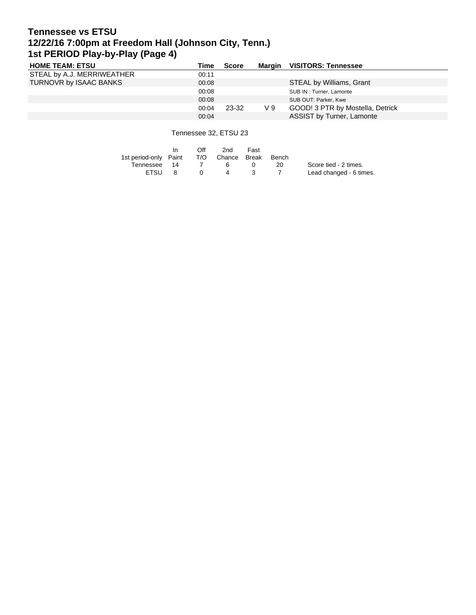# **Tennessee vs ETSU 12/22/16 7:00pm at Freedom Hall (Johnson City, Tenn.) 1st PERIOD Play-by-Play (Page 4)**

| <b>HOME TEAM: ETSU</b>     | Time  | Score |     | Margin VISITORS: Tennessee       |
|----------------------------|-------|-------|-----|----------------------------------|
| STEAL by A.J. MERRIWEATHER | 00:11 |       |     |                                  |
| TURNOVR by ISAAC BANKS     | 00:08 |       |     | STEAL by Williams, Grant         |
|                            | 00:08 |       |     | SUB IN: Turner, Lamonte          |
|                            | 00:08 |       |     | SUB OUT: Parker, Kwe             |
|                            | 00:04 | 23-32 | V 9 | GOOD! 3 PTR by Mostella, Detrick |
|                            | 00:04 |       |     | ASSIST by Turner, Lamonte        |

Tennessee 32, ETSU 23

|                       | In.  | Off      | 2nd              | Fast |       |                         |
|-----------------------|------|----------|------------------|------|-------|-------------------------|
| 1st period-only Paint |      |          | T/O Chance Break |      | Bench |                         |
| Tennessee             | - 14 |          | ь.               |      | 20    | Score tied - 2 times.   |
| <b>FTSU</b>           |      | $\Omega$ | 4                |      |       | Lead changed - 6 times. |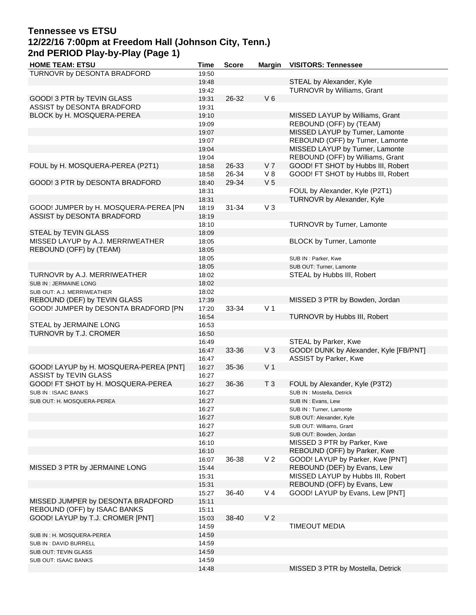# **Tennessee vs ETSU 12/22/16 7:00pm at Freedom Hall (Johnson City, Tenn.) 2nd PERIOD Play-by-Play (Page 1)**

| <b>HOME TEAM: ETSU</b>                 | Time  | <b>Score</b> | <b>Margin</b>  | <b>VISITORS: Tennessee</b>             |
|----------------------------------------|-------|--------------|----------------|----------------------------------------|
| TURNOVR by DESONTA BRADFORD            | 19:50 |              |                |                                        |
|                                        | 19:48 |              |                | STEAL by Alexander, Kyle               |
|                                        | 19:42 |              |                | TURNOVR by Williams, Grant             |
| GOOD! 3 PTR by TEVIN GLASS             | 19:31 | 26-32        | $V_6$          |                                        |
| ASSIST by DESONTA BRADFORD             | 19:31 |              |                |                                        |
| BLOCK by H. MOSQUERA-PEREA             | 19:10 |              |                | MISSED LAYUP by Williams, Grant        |
|                                        | 19:09 |              |                | REBOUND (OFF) by (TEAM)                |
|                                        | 19:07 |              |                | MISSED LAYUP by Turner, Lamonte        |
|                                        | 19:07 |              |                | REBOUND (OFF) by Turner, Lamonte       |
|                                        | 19:04 |              |                |                                        |
|                                        |       |              |                | MISSED LAYUP by Turner, Lamonte        |
|                                        | 19:04 |              |                | REBOUND (OFF) by Williams, Grant       |
| FOUL by H. MOSQUERA-PEREA (P2T1)       | 18:58 | 26-33        | V <sub>7</sub> | GOOD! FT SHOT by Hubbs III, Robert     |
|                                        | 18:58 | 26-34        | V8             | GOOD! FT SHOT by Hubbs III, Robert     |
| GOOD! 3 PTR by DESONTA BRADFORD        | 18:40 | 29-34        | V <sub>5</sub> |                                        |
|                                        | 18:31 |              |                | FOUL by Alexander, Kyle (P2T1)         |
|                                        | 18:31 |              |                | TURNOVR by Alexander, Kyle             |
| GOOD! JUMPER by H. MOSQUERA-PEREA [PN  | 18:19 | 31-34        | $V_3$          |                                        |
| ASSIST by DESONTA BRADFORD             | 18:19 |              |                |                                        |
|                                        | 18:10 |              |                | TURNOVR by Turner, Lamonte             |
| <b>STEAL by TEVIN GLASS</b>            | 18:09 |              |                |                                        |
| MISSED LAYUP by A.J. MERRIWEATHER      | 18:05 |              |                | BLOCK by Turner, Lamonte               |
| REBOUND (OFF) by (TEAM)                | 18:05 |              |                |                                        |
|                                        | 18:05 |              |                | SUB IN : Parker, Kwe                   |
|                                        | 18:05 |              |                | SUB OUT: Turner, Lamonte               |
| TURNOVR by A.J. MERRIWEATHER           | 18:02 |              |                | STEAL by Hubbs III, Robert             |
| SUB IN: JERMAINE LONG                  | 18:02 |              |                |                                        |
| SUB OUT: A.J. MERRIWEATHER             | 18:02 |              |                |                                        |
| REBOUND (DEF) by TEVIN GLASS           | 17:39 |              |                | MISSED 3 PTR by Bowden, Jordan         |
| GOOD! JUMPER by DESONTA BRADFORD [PN   | 17:20 | 33-34        | V <sub>1</sub> |                                        |
|                                        |       |              |                |                                        |
|                                        | 16:54 |              |                | TURNOVR by Hubbs III, Robert           |
| STEAL by JERMAINE LONG                 | 16:53 |              |                |                                        |
| TURNOVR by T.J. CROMER                 | 16:50 |              |                |                                        |
|                                        | 16:49 |              |                | STEAL by Parker, Kwe                   |
|                                        | 16:47 | 33-36        | V <sub>3</sub> | GOOD! DUNK by Alexander, Kyle [FB/PNT] |
|                                        | 16:47 |              |                | ASSIST by Parker, Kwe                  |
| GOOD! LAYUP by H. MOSQUERA-PEREA [PNT] | 16:27 | 35-36        | V <sub>1</sub> |                                        |
| ASSIST by TEVIN GLASS                  | 16:27 |              |                |                                        |
| GOOD! FT SHOT by H. MOSQUERA-PEREA     | 16:27 | 36-36        | T <sub>3</sub> | FOUL by Alexander, Kyle (P3T2)         |
| SUB IN: ISAAC BANKS                    | 16:27 |              |                | SUB IN : Mostella, Detrick             |
| SUB OUT: H. MOSQUERA-PEREA             | 16:27 |              |                | SUB IN: Evans, Lew                     |
|                                        | 16:27 |              |                | SUB IN: Turner, Lamonte                |
|                                        | 16:27 |              |                | SUB OUT: Alexander, Kyle               |
|                                        | 16:27 |              |                | SUB OUT: Williams, Grant               |
|                                        | 16:27 |              |                | SUB OUT: Bowden, Jordan                |
|                                        | 16:10 |              |                | MISSED 3 PTR by Parker, Kwe            |
|                                        | 16:10 |              |                | REBOUND (OFF) by Parker, Kwe           |
|                                        | 16:07 | 36-38        | V <sub>2</sub> | GOOD! LAYUP by Parker, Kwe [PNT]       |
| MISSED 3 PTR by JERMAINE LONG          | 15:44 |              |                | REBOUND (DEF) by Evans, Lew            |
|                                        | 15:31 |              |                | MISSED LAYUP by Hubbs III, Robert      |
|                                        | 15:31 |              |                | REBOUND (OFF) by Evans, Lew            |
|                                        | 15:27 | 36-40        | V <sub>4</sub> | GOOD! LAYUP by Evans, Lew [PNT]        |
| MISSED JUMPER by DESONTA BRADFORD      |       |              |                |                                        |
| REBOUND (OFF) by ISAAC BANKS           | 15:11 |              |                |                                        |
|                                        | 15:11 |              |                |                                        |
| GOOD! LAYUP by T.J. CROMER [PNT]       | 15:03 | 38-40        | V <sub>2</sub> |                                        |
|                                        | 14:59 |              |                | <b>TIMEOUT MEDIA</b>                   |
| SUB IN : H. MOSQUERA-PEREA             | 14:59 |              |                |                                        |
| SUB IN : DAVID BURRELL                 | 14:59 |              |                |                                        |
| SUB OUT: TEVIN GLASS                   | 14:59 |              |                |                                        |
| SUB OUT: ISAAC BANKS                   | 14:59 |              |                |                                        |
|                                        | 14:48 |              |                | MISSED 3 PTR by Mostella, Detrick      |
|                                        |       |              |                |                                        |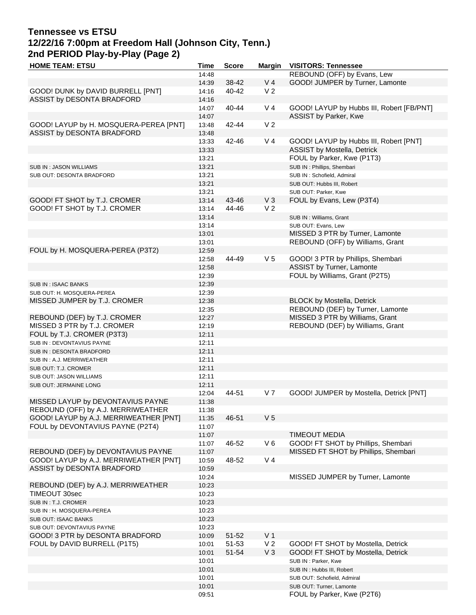## **Tennessee vs ETSU 12/22/16 7:00pm at Freedom Hall (Johnson City, Tenn.) 2nd PERIOD Play-by-Play (Page 2)**

| <b>HOME TEAM: ETSU</b>                 | <b>Time</b> | <b>Score</b> | <b>Margin</b>  | <b>VISITORS: Tennessee</b>                |
|----------------------------------------|-------------|--------------|----------------|-------------------------------------------|
|                                        | 14:48       |              |                | REBOUND (OFF) by Evans, Lew               |
|                                        | 14:39       | 38-42        | V <sub>4</sub> | GOOD! JUMPER by Turner, Lamonte           |
| GOOD! DUNK by DAVID BURRELL [PNT]      | 14:16       | 40-42        | V <sub>2</sub> |                                           |
| ASSIST by DESONTA BRADFORD             | 14:16       |              |                |                                           |
|                                        | 14:07       | 40-44        | V <sub>4</sub> | GOOD! LAYUP by Hubbs III, Robert [FB/PNT] |
|                                        | 14:07       |              |                | ASSIST by Parker, Kwe                     |
| GOOD! LAYUP by H. MOSQUERA-PEREA [PNT] | 13:48       | 42-44        | V <sub>2</sub> |                                           |
| ASSIST by DESONTA BRADFORD             | 13:48       |              |                |                                           |
|                                        | 13:33       |              | V <sub>4</sub> | GOOD! LAYUP by Hubbs III, Robert [PNT]    |
|                                        |             | 42-46        |                |                                           |
|                                        | 13:33       |              |                | <b>ASSIST by Mostella, Detrick</b>        |
|                                        | 13:21       |              |                | FOUL by Parker, Kwe (P1T3)                |
| SUB IN: JASON WILLIAMS                 | 13:21       |              |                | SUB IN : Phillips, Shembari               |
| SUB OUT: DESONTA BRADFORD              | 13:21       |              |                | SUB IN: Schofield, Admiral                |
|                                        | 13:21       |              |                | SUB OUT: Hubbs III, Robert                |
|                                        | 13:21       |              |                | SUB OUT: Parker, Kwe                      |
| GOOD! FT SHOT by T.J. CROMER           | 13:14       | 43-46        | $V_3$          | FOUL by Evans, Lew (P3T4)                 |
| GOOD! FT SHOT by T.J. CROMER           | 13:14       | 44-46        | V <sub>2</sub> |                                           |
|                                        | 13:14       |              |                | SUB IN: Williams, Grant                   |
|                                        | 13:14       |              |                | SUB OUT: Evans, Lew                       |
|                                        | 13:01       |              |                | MISSED 3 PTR by Turner, Lamonte           |
|                                        | 13:01       |              |                | REBOUND (OFF) by Williams, Grant          |
| FOUL by H. MOSQUERA-PEREA (P3T2)       | 12:59       |              |                |                                           |
|                                        | 12:58       | 44-49        | V <sub>5</sub> | GOOD! 3 PTR by Phillips, Shembari         |
|                                        | 12:58       |              |                | ASSIST by Turner, Lamonte                 |
|                                        | 12:39       |              |                | FOUL by Williams, Grant (P2T5)            |
| <b>SUB IN: ISAAC BANKS</b>             | 12:39       |              |                |                                           |
| SUB OUT: H. MOSQUERA-PEREA             | 12:39       |              |                |                                           |
| MISSED JUMPER by T.J. CROMER           | 12:38       |              |                | <b>BLOCK by Mostella, Detrick</b>         |
|                                        | 12:35       |              |                | REBOUND (DEF) by Turner, Lamonte          |
| REBOUND (DEF) by T.J. CROMER           | 12:27       |              |                | MISSED 3 PTR by Williams, Grant           |
| MISSED 3 PTR by T.J. CROMER            | 12:19       |              |                | REBOUND (DEF) by Williams, Grant          |
| FOUL by T.J. CROMER (P3T3)             | 12:11       |              |                |                                           |
| SUB IN : DEVONTAVIUS PAYNE             | 12:11       |              |                |                                           |
| SUB IN: DESONTA BRADFORD               | 12:11       |              |                |                                           |
| SUB IN : A.J. MERRIWEATHER             | 12:11       |              |                |                                           |
| SUB OUT: T.J. CROMER                   | 12:11       |              |                |                                           |
| SUB OUT: JASON WILLIAMS                | 12:11       |              |                |                                           |
|                                        | 12:11       |              |                |                                           |
| SUB OUT: JERMAINE LONG                 | 12:04       | 44-51        | V 7            | GOOD! JUMPER by Mostella, Detrick [PNT]   |
|                                        | 11:38       |              |                |                                           |
| MISSED LAYUP by DEVONTAVIUS PAYNE      |             |              |                |                                           |
| REBOUND (OFF) by A.J. MERRIWEATHER     | 11:38       |              |                |                                           |
| GOOD! LAYUP by A.J. MERRIWEATHER [PNT] | 11:35       | 46-51        | V <sub>5</sub> |                                           |
| FOUL by DEVONTAVIUS PAYNE (P2T4)       | 11:07       |              |                |                                           |
|                                        | 11:07       |              |                | <b>TIMEOUT MEDIA</b>                      |
|                                        | 11:07       | 46-52        | $V_6$          | GOOD! FT SHOT by Phillips, Shembari       |
| REBOUND (DEF) by DEVONTAVIUS PAYNE     | 11:07       |              |                | MISSED FT SHOT by Phillips, Shembari      |
| GOOD! LAYUP by A.J. MERRIWEATHER [PNT] | 10:59       | 48-52        | V <sub>4</sub> |                                           |
| ASSIST by DESONTA BRADFORD             | 10:59       |              |                |                                           |
|                                        | 10:24       |              |                | MISSED JUMPER by Turner, Lamonte          |
| REBOUND (DEF) by A.J. MERRIWEATHER     | 10:23       |              |                |                                           |
| TIMEOUT 30sec                          | 10:23       |              |                |                                           |
| SUB IN : T.J. CROMER                   | 10:23       |              |                |                                           |
| SUB IN : H. MOSQUERA-PEREA             | 10:23       |              |                |                                           |
| SUB OUT: ISAAC BANKS                   | 10:23       |              |                |                                           |
| SUB OUT: DEVONTAVIUS PAYNE             | 10:23       |              |                |                                           |
| GOOD! 3 PTR by DESONTA BRADFORD        | 10:09       | $51 - 52$    | V <sub>1</sub> |                                           |
| FOUL by DAVID BURRELL (P1T5)           | 10:01       | 51-53        | V <sub>2</sub> | GOOD! FT SHOT by Mostella, Detrick        |
|                                        | 10:01       | 51-54        | $V_3$          | GOOD! FT SHOT by Mostella, Detrick        |
|                                        | 10:01       |              |                | SUB IN: Parker, Kwe                       |
|                                        | 10:01       |              |                | SUB IN: Hubbs III, Robert                 |
|                                        | 10:01       |              |                | SUB OUT: Schofield, Admiral               |
|                                        | 10:01       |              |                | SUB OUT: Turner, Lamonte                  |
|                                        | 09:51       |              |                | FOUL by Parker, Kwe (P2T6)                |
|                                        |             |              |                |                                           |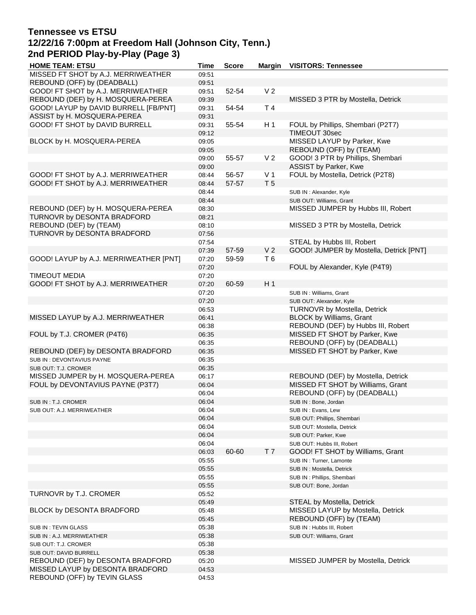## **Tennessee vs ETSU 12/22/16 7:00pm at Freedom Hall (Johnson City, Tenn.) 2nd PERIOD Play-by-Play (Page 3)**

| <b>HOME TEAM: ETSU</b>                 | Time  | <b>Score</b> | <b>Margin</b>  | <b>VISITORS: Tennessee</b>              |
|----------------------------------------|-------|--------------|----------------|-----------------------------------------|
| MISSED FT SHOT by A.J. MERRIWEATHER    | 09:51 |              |                |                                         |
| REBOUND (OFF) by (DEADBALL)            | 09:51 |              |                |                                         |
| GOOD! FT SHOT by A.J. MERRIWEATHER     | 09:51 | 52-54        | V <sub>2</sub> |                                         |
| REBOUND (DEF) by H. MOSQUERA-PEREA     | 09:39 |              |                | MISSED 3 PTR by Mostella, Detrick       |
| GOOD! LAYUP by DAVID BURRELL [FB/PNT]  | 09:31 | 54-54        | T <sub>4</sub> |                                         |
| ASSIST by H. MOSQUERA-PEREA            | 09:31 |              |                |                                         |
| GOOD! FT SHOT by DAVID BURRELL         | 09:31 | 55-54        | H 1            | FOUL by Phillips, Shembari (P2T7)       |
|                                        | 09:12 |              |                | TIMEOUT 30sec                           |
| BLOCK by H. MOSQUERA-PEREA             | 09:05 |              |                | MISSED LAYUP by Parker, Kwe             |
|                                        | 09:05 |              |                | REBOUND (OFF) by (TEAM)                 |
|                                        | 09:00 | 55-57        | V <sub>2</sub> | GOOD! 3 PTR by Phillips, Shembari       |
|                                        | 09:00 |              |                | ASSIST by Parker, Kwe                   |
| GOOD! FT SHOT by A.J. MERRIWEATHER     | 08:44 | 56-57        | V <sub>1</sub> | FOUL by Mostella, Detrick (P2T8)        |
| GOOD! FT SHOT by A.J. MERRIWEATHER     | 08:44 | 57-57        | T <sub>5</sub> |                                         |
|                                        | 08:44 |              |                | SUB IN : Alexander, Kyle                |
|                                        | 08:44 |              |                | SUB OUT: Williams, Grant                |
| REBOUND (DEF) by H. MOSQUERA-PEREA     | 08:30 |              |                | MISSED JUMPER by Hubbs III, Robert      |
| TURNOVR by DESONTA BRADFORD            | 08:21 |              |                |                                         |
| REBOUND (DEF) by (TEAM)                | 08:10 |              |                | MISSED 3 PTR by Mostella, Detrick       |
| TURNOVR by DESONTA BRADFORD            | 07:56 |              |                |                                         |
|                                        | 07:54 |              |                | STEAL by Hubbs III, Robert              |
|                                        | 07:39 | 57-59        | V <sub>2</sub> | GOOD! JUMPER by Mostella, Detrick [PNT] |
| GOOD! LAYUP by A.J. MERRIWEATHER [PNT] | 07:20 | 59-59        | T6             |                                         |
|                                        | 07:20 |              |                | FOUL by Alexander, Kyle (P4T9)          |
| <b>TIMEOUT MEDIA</b>                   | 07:20 |              |                |                                         |
| GOOD! FT SHOT by A.J. MERRIWEATHER     | 07:20 | 60-59        | H <sub>1</sub> |                                         |
|                                        | 07:20 |              |                | SUB IN: Williams, Grant                 |
|                                        | 07:20 |              |                | SUB OUT: Alexander, Kyle                |
|                                        | 06:53 |              |                | TURNOVR by Mostella, Detrick            |
| MISSED LAYUP by A.J. MERRIWEATHER      | 06:41 |              |                | <b>BLOCK by Williams, Grant</b>         |
|                                        | 06:38 |              |                | REBOUND (DEF) by Hubbs III, Robert      |
| FOUL by T.J. CROMER (P4T6)             | 06:35 |              |                | MISSED FT SHOT by Parker, Kwe           |
|                                        | 06:35 |              |                | REBOUND (OFF) by (DEADBALL)             |
| REBOUND (DEF) by DESONTA BRADFORD      | 06:35 |              |                | MISSED FT SHOT by Parker, Kwe           |
| SUB IN: DEVONTAVIUS PAYNE              | 06:35 |              |                |                                         |
| SUB OUT: T.J. CROMER                   | 06:35 |              |                |                                         |
| MISSED JUMPER by H. MOSQUERA-PEREA     | 06:17 |              |                | REBOUND (DEF) by Mostella, Detrick      |
| FOUL by DEVONTAVIUS PAYNE (P3T7)       | 06:04 |              |                | MISSED FT SHOT by Williams, Grant       |
|                                        | 06:04 |              |                | REBOUND (OFF) by (DEADBALL)             |
| SUB IN : T.J. CROMER                   | 06:04 |              |                | SUB IN : Bone, Jordan                   |
| SUB OUT: A.J. MERRIWEATHER             | 06:04 |              |                | SUB IN: Evans, Lew                      |
|                                        | 06:04 |              |                | SUB OUT: Phillips, Shembari             |
|                                        | 06:04 |              |                | SUB OUT: Mostella, Detrick              |
|                                        | 06:04 |              |                | SUB OUT: Parker, Kwe                    |
|                                        | 06:04 |              |                | SUB OUT: Hubbs III, Robert              |
|                                        | 06:03 | 60-60        | T <sub>7</sub> | GOOD! FT SHOT by Williams, Grant        |
|                                        | 05:55 |              |                | SUB IN: Turner, Lamonte                 |
|                                        | 05:55 |              |                | SUB IN : Mostella, Detrick              |
|                                        | 05:55 |              |                | SUB IN: Phillips, Shembari              |
|                                        | 05:55 |              |                | SUB OUT: Bone, Jordan                   |
| TURNOVR by T.J. CROMER                 | 05:52 |              |                |                                         |
|                                        | 05:49 |              |                | STEAL by Mostella, Detrick              |
| BLOCK by DESONTA BRADFORD              | 05:48 |              |                | MISSED LAYUP by Mostella, Detrick       |
|                                        | 05:45 |              |                | REBOUND (OFF) by (TEAM)                 |
| SUB IN: TEVIN GLASS                    | 05:38 |              |                | SUB IN: Hubbs III, Robert               |
| SUB IN: A.J. MERRIWEATHER              | 05:38 |              |                | SUB OUT: Williams, Grant                |
| SUB OUT: T.J. CROMER                   | 05:38 |              |                |                                         |
| SUB OUT: DAVID BURRELL                 | 05:38 |              |                |                                         |
| REBOUND (DEF) by DESONTA BRADFORD      | 05:20 |              |                | MISSED JUMPER by Mostella, Detrick      |
| MISSED LAYUP by DESONTA BRADFORD       | 04:53 |              |                |                                         |
| REBOUND (OFF) by TEVIN GLASS           | 04:53 |              |                |                                         |